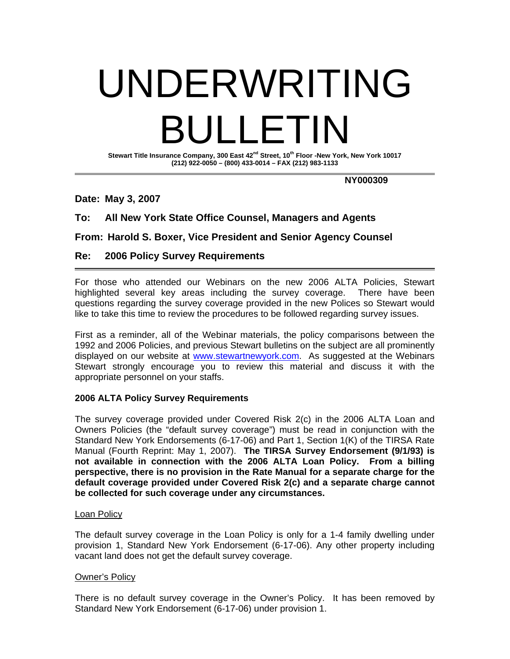# UNDERWRITING BULLETIN

**Stewart Title Insurance Company, 300 East 42nd Street, 10th Floor -New York, New York 10017 (212) 922-0050 – (800) 433-0014 – FAX (212) 983-1133** 

 **NY000309** 

**Date: May 3, 2007** 

# **To: All New York State Office Counsel, Managers and Agents**

**From: Harold S. Boxer, Vice President and Senior Agency Counsel** 

#### **Re: 2006 Policy Survey Requirements**

For those who attended our Webinars on the new 2006 ALTA Policies, Stewart highlighted several key areas including the survey coverage. There have been questions regarding the survey coverage provided in the new Polices so Stewart would like to take this time to review the procedures to be followed regarding survey issues.

First as a reminder, all of the Webinar materials, the policy comparisons between the 1992 and 2006 Policies, and previous Stewart bulletins on the subject are all prominently displayed on our website at www.stewartnewyork.com. As suggested at the Webinars Stewart strongly encourage you to review this material and discuss it with the appropriate personnel on your staffs.

# **2006 ALTA Policy Survey Requirements**

The survey coverage provided under Covered Risk 2(c) in the 2006 ALTA Loan and Owners Policies (the "default survey coverage") must be read in conjunction with the Standard New York Endorsements (6-17-06) and Part 1, Section 1(K) of the TIRSA Rate Manual (Fourth Reprint: May 1, 2007). **The TIRSA Survey Endorsement (9/1/93) is not available in connection with the 2006 ALTA Loan Policy. From a billing perspective, there is no provision in the Rate Manual for a separate charge for the default coverage provided under Covered Risk 2(c) and a separate charge cannot be collected for such coverage under any circumstances.**

# Loan Policy

The default survey coverage in the Loan Policy is only for a 1-4 family dwelling under provision 1, Standard New York Endorsement (6-17-06). Any other property including vacant land does not get the default survey coverage.

# Owner's Policy

There is no default survey coverage in the Owner's Policy. It has been removed by Standard New York Endorsement (6-17-06) under provision 1.